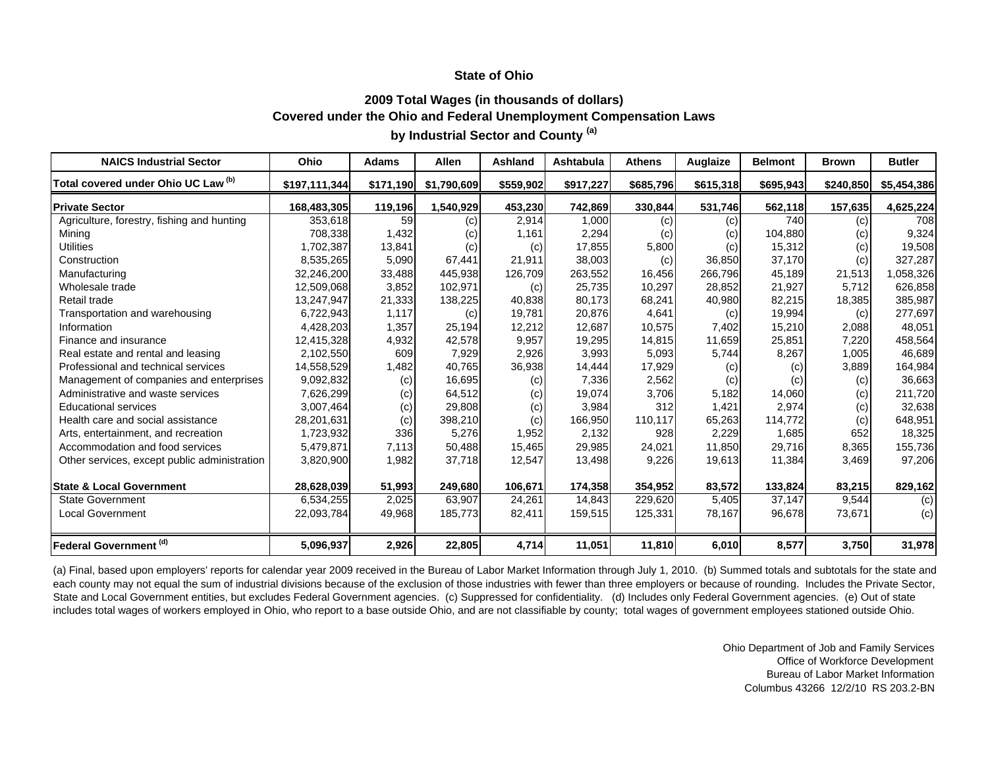## **2009 Total Wages (in thousands of dollars) Covered under the Ohio and Federal Unemployment Compensation Laws by Industrial Sector and County (a)**

| <b>NAICS Industrial Sector</b>               | Ohio          | <b>Adams</b> | Allen       | <b>Ashland</b> | Ashtabula | <b>Athens</b> | Auglaize  | <b>Belmont</b> | <b>Brown</b> | <b>Butler</b> |
|----------------------------------------------|---------------|--------------|-------------|----------------|-----------|---------------|-----------|----------------|--------------|---------------|
| Total covered under Ohio UC Law (b)          | \$197,111,344 | \$171,190    | \$1,790,609 | \$559,902      | \$917,227 | \$685,796     | \$615,318 | \$695,943      | \$240,850    | \$5,454,386   |
| <b>Private Sector</b>                        | 168,483,305   | 119,196      | 1,540,929   | 453,230        | 742,869   | 330,844       | 531,746   | 562,118        | 157,635      | 4,625,224     |
| Agriculture, forestry, fishing and hunting   | 353,618       | 59           | (c)         | 2,914          | 1,000     | (c)           | (c)       | 740            | (c)          | 708           |
| Mining                                       | 708,338       | 1,432        | (c)         | 1.161          | 2,294     | (c)           | (c)       | 104,880        | (c)          | 9,324         |
| <b>Utilities</b>                             | 1,702,387     | 13,841       | (c)         | (c)            | 17,855    | 5,800         | (c)       | 15,312         | (c)          | 19,508        |
| Construction                                 | 8,535,265     | 5,090        | 67,441      | 21,911         | 38,003    | (c)           | 36,850    | 37,170         | (c)          | 327,287       |
| Manufacturing                                | 32,246,200    | 33,488       | 445,938     | 126,709        | 263,552   | 16,456        | 266,796   | 45,189         | 21,513       | 1,058,326     |
| Wholesale trade                              | 12,509,068    | 3,852        | 102,971     | (c)            | 25,735    | 10,297        | 28,852    | 21,927         | 5.712        | 626,858       |
| Retail trade                                 | 13,247,947    | 21,333       | 138,225     | 40,838         | 80,173    | 68,241        | 40,980    | 82,215         | 18,385       | 385,987       |
| Transportation and warehousing               | 6,722,943     | 1,117        | (c)         | 19,781         | 20,876    | 4,641         | (c)       | 19,994         | (c)          | 277,697       |
| Information                                  | 4,428,203     | 1,357        | 25,194      | 12,212         | 12.687    | 10,575        | 7,402     | 15,210         | 2,088        | 48,051        |
| Finance and insurance                        | 12,415,328    | 4,932        | 42,578      | 9,957          | 19,295    | 14,815        | 11,659    | 25,851         | 7,220        | 458,564       |
| Real estate and rental and leasing           | 2,102,550     | 609          | 7,929       | 2,926          | 3,993     | 5,093         | 5,744     | 8,267          | 1,005        | 46,689        |
| Professional and technical services          | 14,558,529    | 1,482        | 40,765      | 36,938         | 14,444    | 17,929        | (c)       | (c)            | 3,889        | 164,984       |
| Management of companies and enterprises      | 9,092,832     | (c)          | 16,695      | (c)            | 7,336     | 2,562         | (c)       | (c)            | (c)          | 36,663        |
| Administrative and waste services            | 7,626,299     | (c)          | 64,512      | (c)            | 19,074    | 3,706         | 5,182     | 14,060         | (c)          | 211,720       |
| <b>Educational services</b>                  | 3,007,464     | (c)          | 29,808      | (c)            | 3,984     | 312           | 1,421     | 2,974          | (c)          | 32,638        |
| Health care and social assistance            | 28,201,631    | (c)          | 398,210     | (c)            | 166,950   | 110,117       | 65,263    | 114,772        | (c)          | 648,951       |
| Arts, entertainment, and recreation          | 1,723,932     | 336          | 5,276       | 1,952          | 2,132     | 928           | 2,229     | 1,685          | 652          | 18,325        |
| Accommodation and food services              | 5,479,871     | 7,113        | 50,488      | 15,465         | 29,985    | 24,021        | 11,850    | 29,716         | 8,365        | 155,736       |
| Other services, except public administration | 3,820,900     | 1,982        | 37,718      | 12,547         | 13,498    | 9,226         | 19,613    | 11,384         | 3,469        | 97,206        |
| <b>State &amp; Local Government</b>          | 28,628,039    | 51,993       | 249,680     | 106,671        | 174,358   | 354,952       | 83,572    | 133,824        | 83,215       | 829,162       |
| <b>State Government</b>                      | 6,534,255     | 2,025        | 63,907      | 24,261         | 14,843    | 229,620       | 5,405     | 37,147         | 9,544        | (c)           |
| <b>Local Government</b>                      | 22,093,784    | 49,968       | 185,773     | 82,411         | 159,515   | 125,331       | 78,167    | 96,678         | 73,671       | (c)           |
| Federal Government <sup>(d)</sup>            | 5,096,937     | 2,926        | 22,805      | 4,714          | 11,051    | 11,810        | 6,010     | 8,577          | 3,750        | 31,978        |

(a) Final, based upon employers' reports for calendar year 2009 received in the Bureau of Labor Market Information through July 1, 2010. (b) Summed totals and subtotals for the state and each county may not equal the sum of industrial divisions because of the exclusion of those industries with fewer than three employers or because of rounding. Includes the Private Sector, State and Local Government entities, but excludes Federal Government agencies. (c) Suppressed for confidentiality. (d) Includes only Federal Government agencies. (e) Out of state includes total wages of workers employed in Ohio, who report to a base outside Ohio, and are not classifiable by county; total wages of government employees stationed outside Ohio.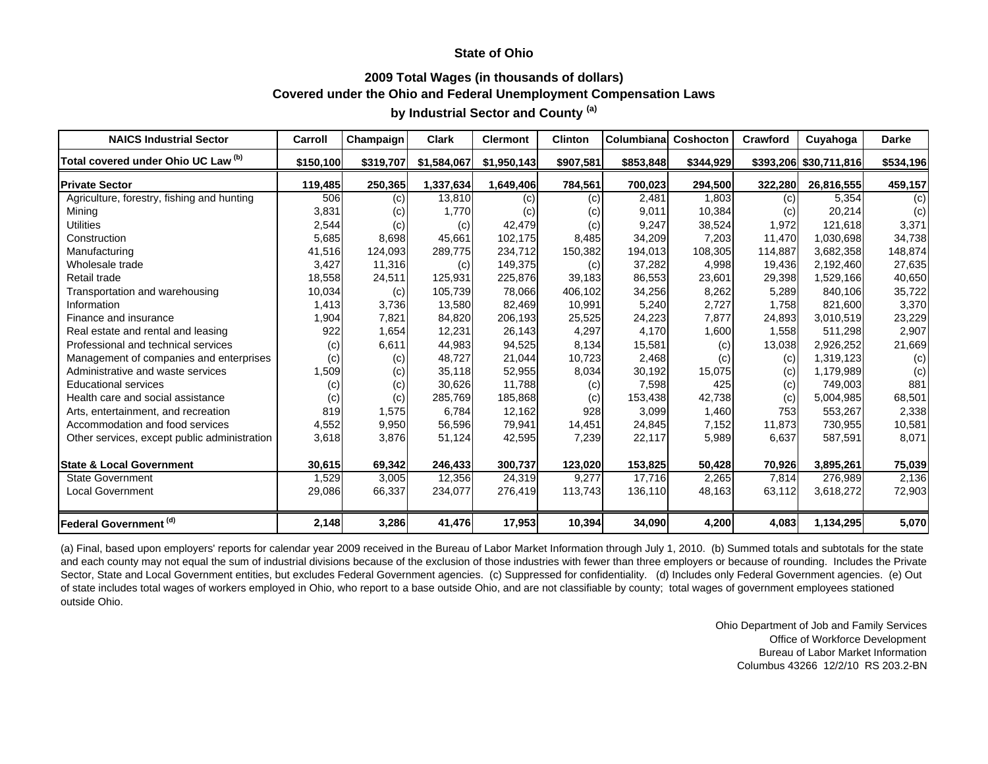### **2009 Total Wages (in thousands of dollars) Covered under the Ohio and Federal Unemployment Compensation Laws**

# **by Industrial Sector and County (a)**

| <b>NAICS Industrial Sector</b>               | Carroll   | Champaign | Clark       | <b>Clermont</b> | <b>Clinton</b> | Columbianal | <b>Coshocton</b> | <b>Crawford</b> | Cuyahoga               | <b>Darke</b> |
|----------------------------------------------|-----------|-----------|-------------|-----------------|----------------|-------------|------------------|-----------------|------------------------|--------------|
| Total covered under Ohio UC Law (b)          | \$150,100 | \$319,707 | \$1,584,067 | \$1,950,143     | \$907,581      | \$853,848   | \$344,929        |                 | \$393,206 \$30,711,816 | \$534,196    |
| <b>Private Sector</b>                        | 119,485   | 250,365   | 1,337,634   | 1,649,406       | 784,561        | 700,023     | 294,500          | 322,280         | 26,816,555             | 459,157      |
| Agriculture, forestry, fishing and hunting   | 506       | (c)       | 13,810      | (c)             | (c)            | 2,481       | 1,803            | (c)             | 5,354                  | (c)          |
| Mining                                       | 3,831     | (c)       | 1,770       | (c)             | (c)            | 9,011       | 10,384           | (c)             | 20,214                 | (c)          |
| <b>Utilities</b>                             | 2,544     | (c)       | (c)         | 42,479          | (c)            | 9,247       | 38,524           | 1,972           | 121,618                | 3,371        |
| Construction                                 | 5,685     | 8,698     | 45,661      | 102,175         | 8,485          | 34,209      | 7,203            | 11,470          | 1,030,698              | 34,738       |
| Manufacturing                                | 41,516    | 124,093   | 289,775     | 234,712         | 150,382        | 194,013     | 108,305          | 114,887         | 3,682,358              | 148,874      |
| Wholesale trade                              | 3,427     | 11,316    | (c)         | 149,375         | (c)            | 37,282      | 4,998            | 19,436          | 2,192,460              | 27,635       |
| Retail trade                                 | 18,558    | 24,511    | 125,931     | 225,876         | 39,183         | 86,553      | 23,601           | 29,398          | 1,529,166              | 40,650       |
| Transportation and warehousing               | 10,034    | (c)       | 105,739     | 78,066          | 406,102        | 34,256      | 8,262            | 5,289           | 840,106                | 35,722       |
| Information                                  | 1,413     | 3,736     | 13,580      | 82,469          | 10,991         | 5,240       | 2,727            | 1,758           | 821,600                | 3,370        |
| Finance and insurance                        | 1,904     | 7,821     | 84,820      | 206,193         | 25,525         | 24,223      | 7,877            | 24,893          | 3,010,519              | 23,229       |
| Real estate and rental and leasing           | 922       | 1,654     | 12,231      | 26,143          | 4,297          | 4,170       | 1,600            | 1,558           | 511,298                | 2,907        |
| Professional and technical services          | (c)       | 6,611     | 44,983      | 94,525          | 8,134          | 15,581      | (c)              | 13,038          | 2,926,252              | 21,669       |
| Management of companies and enterprises      | (c)       | (c)       | 48.727      | 21,044          | 10,723         | 2,468       | (c)              | (c)             | 1,319,123              | (c)          |
| Administrative and waste services            | 1,509     | (c)       | 35,118      | 52,955          | 8,034          | 30,192      | 15,075           | (c)             | 1,179,989              | (c)          |
| <b>Educational services</b>                  | (c)       | (c)       | 30,626      | 11,788          | (c)            | 7,598       | 425              | (c)             | 749,003                | 881          |
| Health care and social assistance            | (c)       | (c)       | 285,769     | 185,868         | (c)            | 153,438     | 42,738           | (c)             | 5.004.985              | 68,501       |
| Arts, entertainment, and recreation          | 819       | 1,575     | 6,784       | 12,162          | 928            | 3,099       | 1,460            | 753             | 553,267                | 2,338        |
| Accommodation and food services              | 4,552     | 9,950     | 56,596      | 79,941          | 14,451         | 24,845      | 7,152            | 11,873          | 730,955                | 10,581       |
| Other services, except public administration | 3,618     | 3,876     | 51,124      | 42,595          | 7,239          | 22,117      | 5,989            | 6,637           | 587,591                | 8,071        |
| <b>State &amp; Local Government</b>          | 30,615    | 69,342    | 246,433     | 300,737         | 123,020        | 153,825     | 50,428           | 70,926          | 3,895,261              | 75,039       |
| <b>State Government</b>                      | 1,529     | 3,005     | 12,356      | 24,319          | 9,277          | 17,716      | 2,265            | 7,814           | 276,989                | 2,136        |
| <b>Local Government</b>                      | 29,086    | 66,337    | 234,077     | 276,419         | 113,743        | 136,110     | 48,163           | 63,112          | 3,618,272              | 72,903       |
| Federal Government <sup>(d)</sup>            | 2,148     | 3,286     | 41,476      | 17,953          | 10,394         | 34,090      | 4,200            | 4,083           | 1,134,295              | 5,070        |

(a) Final, based upon employers' reports for calendar year 2009 received in the Bureau of Labor Market Information through July 1, 2010. (b) Summed totals and subtotals for the state and each county may not equal the sum of industrial divisions because of the exclusion of those industries with fewer than three employers or because of rounding. Includes the Private Sector, State and Local Government entities, but excludes Federal Government agencies. (c) Suppressed for confidentiality. (d) Includes only Federal Government agencies. (e) Out of state includes total wages of workers employed in Ohio, who report to a base outside Ohio, and are not classifiable by county; total wages of government employees stationed outside Ohio.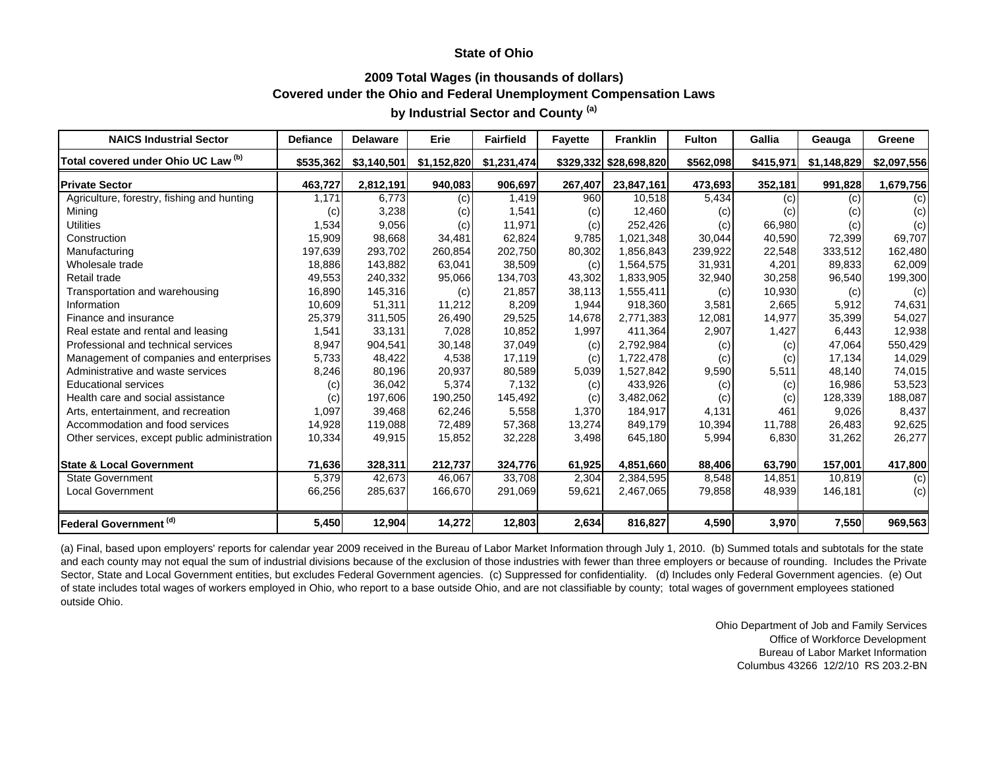### **2009 Total Wages (in thousands of dollars) Covered under the Ohio and Federal Unemployment Compensation Laws**

# **by Industrial Sector and County (a)**

| <b>NAICS Industrial Sector</b>               | <b>Defiance</b> | <b>Delaware</b> | Erie        | <b>Fairfield</b> | <b>Fayette</b> | <b>Franklin</b>        | <b>Fulton</b> | Gallia    | Geauga      | Greene      |
|----------------------------------------------|-----------------|-----------------|-------------|------------------|----------------|------------------------|---------------|-----------|-------------|-------------|
| Total covered under Ohio UC Law (b)          | \$535,362       | \$3,140,501     | \$1,152,820 | \$1,231,474      |                | \$329,332 \$28,698,820 | \$562,098     | \$415,971 | \$1,148,829 | \$2,097,556 |
| <b>Private Sector</b>                        | 463,727         | 2,812,191       | 940,083     | 906,697          | 267,407        | 23,847,161             | 473,693       | 352,181   | 991,828     | 1,679,756   |
| Agriculture, forestry, fishing and hunting   | 1,171           | 6,773           | (c)         | 1,419            | 960            | 10,518                 | 5,434         | (c)       | (c)         | (c)         |
| Mining                                       | (c)             | 3,238           | (c)         | 1,541            | (c)            | 12,460                 | (c)           | (c)       | (c)         | (c)         |
| <b>Utilities</b>                             | 1,534           | 9,056           | (c)         | 11,971           | (c)            | 252,426                | (c)           | 66,980    | (c)         | (c)         |
| Construction                                 | 15,909          | 98,668          | 34,481      | 62,824           | 9,785          | 1,021,348              | 30,044        | 40,590    | 72,399      | 69,707      |
| Manufacturing                                | 197,639         | 293,702         | 260,854     | 202,750          | 80,302         | 1,856,843              | 239,922       | 22,548    | 333,512     | 162,480     |
| Wholesale trade                              | 18,886          | 143,882         | 63,041      | 38,509           | (c)            | 1,564,575              | 31,931        | 4,201     | 89,833      | 62,009      |
| Retail trade                                 | 49,553          | 240,332         | 95,066      | 134,703          | 43,302         | 1,833,905              | 32,940        | 30,258    | 96,540      | 199,300     |
| Transportation and warehousing               | 16,890          | 145,316         | (c)         | 21,857           | 38,113         | 1,555,411              | (c)           | 10,930    | (c)         | (c)         |
| Information                                  | 10,609          | 51,311          | 11,212      | 8,209            | 1,944          | 918,360                | 3,581         | 2,665     | 5.912       | 74,631      |
| Finance and insurance                        | 25,379          | 311,505         | 26,490      | 29,525           | 14,678         | 2,771,383              | 12,081        | 14,977    | 35,399      | 54,027      |
| Real estate and rental and leasing           | 1,541           | 33,131          | 7,028       | 10,852           | 1,997          | 411,364                | 2,907         | 1,427     | 6,443       | 12,938      |
| Professional and technical services          | 8,947           | 904,541         | 30,148      | 37,049           | (c)            | 2,792,984              | (c)           | (c)       | 47,064      | 550,429     |
| Management of companies and enterprises      | 5,733           | 48,422          | 4,538       | 17.119           | (c)            | 1,722,478              | (c)           | (c)       | 17,134      | 14,029      |
| Administrative and waste services            | 8,246           | 80,196          | 20,937      | 80,589           | 5,039          | 1,527,842              | 9,590         | 5,511     | 48.140      | 74,015      |
| <b>Educational services</b>                  | (c)             | 36,042          | 5,374       | 7,132            | (c)            | 433,926                | (c)           | (c)       | 16,986      | 53,523      |
| Health care and social assistance            | (c)             | 197,606         | 190,250     | 145,492          | (c)            | 3,482,062              | (c)           | (c)       | 128,339     | 188,087     |
| Arts, entertainment, and recreation          | 1,097           | 39,468          | 62,246      | 5,558            | 1,370          | 184,917                | 4,131         | 461       | 9,026       | 8,437       |
| Accommodation and food services              | 14,928          | 119,088         | 72,489      | 57,368           | 13,274         | 849,179                | 10,394        | 11,788    | 26,483      | 92,625      |
| Other services, except public administration | 10,334          | 49,915          | 15,852      | 32,228           | 3,498          | 645,180                | 5,994         | 6,830     | 31,262      | 26,277      |
| <b>State &amp; Local Government</b>          | 71,636          | 328,311         | 212,737     | 324,776          | 61,925         | 4,851,660              | 88,406        | 63,790    | 157,001     | 417,800     |
| <b>State Government</b>                      | 5,379           | 42,673          | 46,067      | 33,708           | 2,304          | 2,384,595              | 8,548         | 14,851    | 10,819      | (c)         |
| <b>Local Government</b>                      | 66,256          | 285,637         | 166,670     | 291,069          | 59,621         | 2,467,065              | 79,858        | 48,939    | 146,181     | (c)         |
| Federal Government <sup>(d)</sup>            | 5,450           | 12,904          | 14,272      | 12,803           | 2,634          | 816,827                | 4,590         | 3,970     | 7,550       | 969,563     |

(a) Final, based upon employers' reports for calendar year 2009 received in the Bureau of Labor Market Information through July 1, 2010. (b) Summed totals and subtotals for the state and each county may not equal the sum of industrial divisions because of the exclusion of those industries with fewer than three employers or because of rounding. Includes the Private Sector, State and Local Government entities, but excludes Federal Government agencies. (c) Suppressed for confidentiality. (d) Includes only Federal Government agencies. (e) Out of state includes total wages of workers employed in Ohio, who report to a base outside Ohio, and are not classifiable by county; total wages of government employees stationed outside Ohio.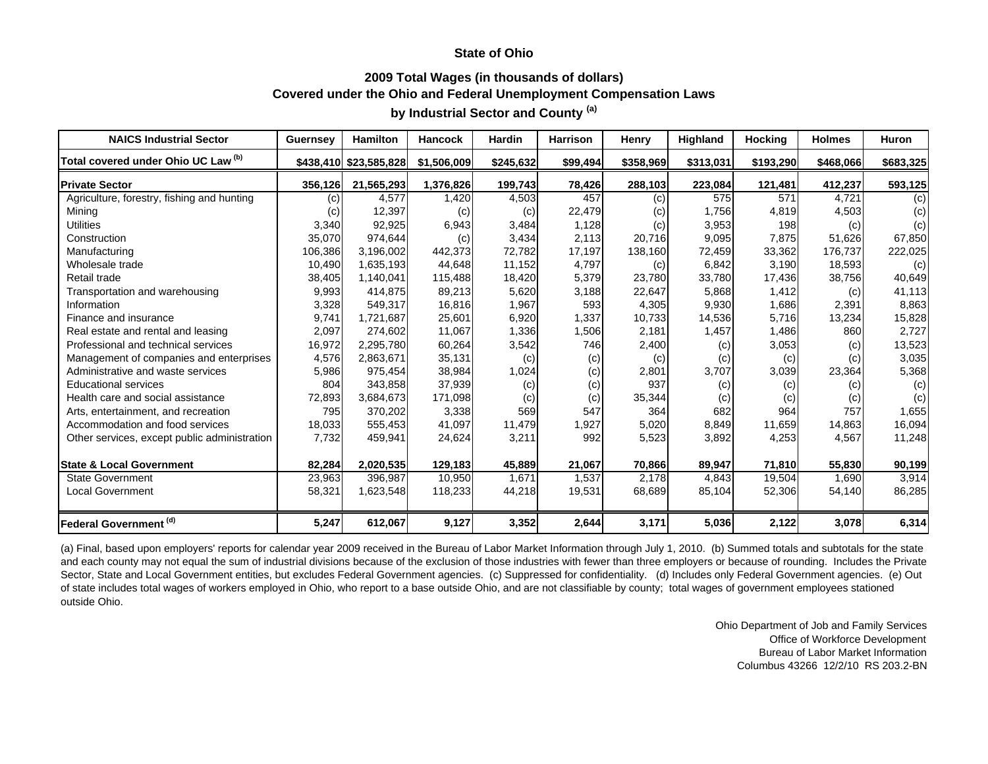### **2009 Total Wages (in thousands of dollars) Covered under the Ohio and Federal Unemployment Compensation Laws**

# **by Industrial Sector and County (a)**

| <b>NAICS Industrial Sector</b>               | Guernsey | <b>Hamilton</b>        | <b>Hancock</b> | <b>Hardin</b> | <b>Harrison</b> | <b>Henry</b> | Highland  | <b>Hocking</b> | <b>Holmes</b> | <b>Huron</b> |
|----------------------------------------------|----------|------------------------|----------------|---------------|-----------------|--------------|-----------|----------------|---------------|--------------|
| Total covered under Ohio UC Law (b)          |          | \$438,410 \$23,585,828 | \$1,506,009    | \$245,632     | \$99,494        | \$358,969    | \$313,031 | \$193,290      | \$468,066     | \$683,325    |
| <b>Private Sector</b>                        | 356,126  | 21,565,293             | 1,376,826      | 199,743       | 78,426          | 288,103      | 223,084   | 121,481        | 412,237       | 593,125      |
| Agriculture, forestry, fishing and hunting   | (c)      | 4,577                  | 1,420          | 4,503         | 457             | (c)          | 575       | 571            | 4.721         | (c)          |
| Mining                                       | (c)      | 12,397                 | (c)            | (c)           | 22,479          | (C)          | 1,756     | 4,819          | 4,503         | (c)          |
| <b>Utilities</b>                             | 3,340    | 92,925                 | 6,943          | 3,484         | 1,128           | (c)          | 3,953     | 198            | (c)           | (c)          |
| Construction                                 | 35,070   | 974,644                | (c)            | 3,434         | 2,113           | 20,716       | 9,095     | 7,875          | 51,626        | 67,850       |
| Manufacturing                                | 106,386  | 3,196,002              | 442,373        | 72,782        | 17,197          | 138,160      | 72,459    | 33,362         | 176,737       | 222,025      |
| Wholesale trade                              | 10,490   | 1,635,193              | 44,648         | 11,152        | 4,797           | (c)          | 6,842     | 3,190          | 18,593        | (c)          |
| Retail trade                                 | 38,405   | 1,140,041              | 115,488        | 18,420        | 5,379           | 23,780       | 33,780    | 17,436         | 38,756        | 40,649       |
| Transportation and warehousing               | 9,993    | 414,875                | 89,213         | 5,620         | 3,188           | 22,647       | 5,868     | 1,412          | (c)           | 41,113       |
| Information                                  | 3,328    | 549,317                | 16,816         | 1,967         | 593             | 4,305        | 9,930     | 1,686          | 2,391         | 8,863        |
| Finance and insurance                        | 9,741    | 1,721,687              | 25,601         | 6,920         | 1,337           | 10,733       | 14,536    | 5,716          | 13,234        | 15,828       |
| Real estate and rental and leasing           | 2,097    | 274,602                | 11,067         | 1,336         | 1,506           | 2,181        | 1,457     | 1,486          | 860           | 2,727        |
| Professional and technical services          | 16,972   | 2,295,780              | 60,264         | 3,542         | 746             | 2,400        | (c)       | 3,053          | (c)           | 13,523       |
| Management of companies and enterprises      | 4,576    | 2,863,671              | 35,131         | (c)           | (c)             | (c)          | (c)       | (c)            | (c)           | 3,035        |
| Administrative and waste services            | 5,986    | 975,454                | 38,984         | 1,024         | (c)             | 2,801        | 3,707     | 3,039          | 23,364        | 5,368        |
| <b>Educational services</b>                  | 804      | 343,858                | 37,939         | (c)           | (c)             | 937          | (c)       | (c)            | (c)           | (c)          |
| Health care and social assistance            | 72,893   | 3,684,673              | 171,098        | (c)           | (c)             | 35,344       | (c)       | (c)            | (c)           | (c)          |
| Arts, entertainment, and recreation          | 795      | 370,202                | 3,338          | 569           | 547             | 364          | 682       | 964            | 757           | 1,655        |
| Accommodation and food services              | 18,033   | 555,453                | 41,097         | 11,479        | 1,927           | 5,020        | 8,849     | 11,659         | 14,863        | 16,094       |
| Other services, except public administration | 7,732    | 459,941                | 24,624         | 3,211         | 992             | 5,523        | 3,892     | 4,253          | 4,567         | 11,248       |
| <b>State &amp; Local Government</b>          | 82,284   | 2,020,535              | 129,183        | 45,889        | 21,067          | 70,866       | 89,947    | 71,810         | 55,830        | 90,199       |
| <b>State Government</b>                      | 23,963   | 396,987                | 10,950         | 1,671         | 1,537           | 2,178        | 4,843     | 19,504         | 1,690         | 3,914        |
| <b>Local Government</b>                      | 58,321   | 1,623,548              | 118,233        | 44,218        | 19,531          | 68,689       | 85,104    | 52,306         | 54,140        | 86,285       |
| Federal Government (d)                       | 5,247    | 612,067                | 9,127          | 3,352         | 2,644           | 3,171        | 5,036     | 2,122          | 3,078         | 6,314        |

(a) Final, based upon employers' reports for calendar year 2009 received in the Bureau of Labor Market Information through July 1, 2010. (b) Summed totals and subtotals for the state and each county may not equal the sum of industrial divisions because of the exclusion of those industries with fewer than three employers or because of rounding. Includes the Private Sector, State and Local Government entities, but excludes Federal Government agencies. (c) Suppressed for confidentiality. (d) Includes only Federal Government agencies. (e) Out of state includes total wages of workers employed in Ohio, who report to a base outside Ohio, and are not classifiable by county; total wages of government employees stationed outside Ohio.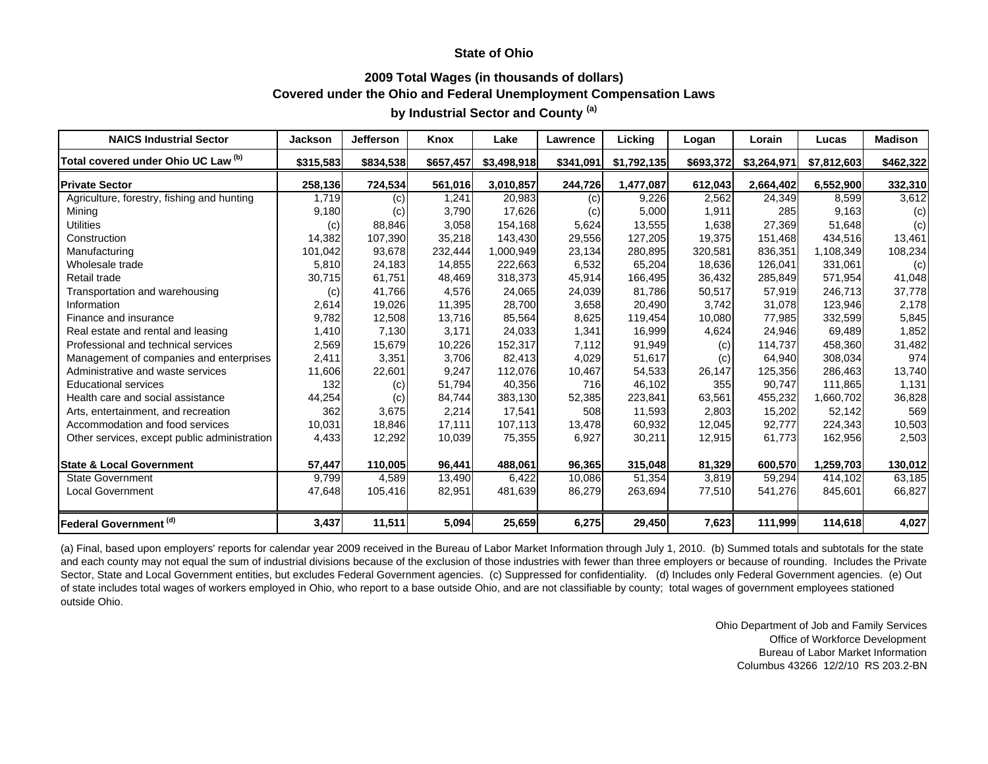### **2009 Total Wages (in thousands of dollars) Covered under the Ohio and Federal Unemployment Compensation Laws**

## **by Industrial Sector and County (a)**

| <b>NAICS Industrial Sector</b>               | <b>Jackson</b> | <b>Jefferson</b> | Knox      | Lake        | Lawrence  | Licking     | Logan     | Lorain      | Lucas       | <b>Madison</b> |
|----------------------------------------------|----------------|------------------|-----------|-------------|-----------|-------------|-----------|-------------|-------------|----------------|
| Total covered under Ohio UC Law (b)          | \$315,583      | \$834,538        | \$657,457 | \$3,498,918 | \$341,091 | \$1,792,135 | \$693,372 | \$3,264,971 | \$7,812,603 | \$462,322      |
| <b>Private Sector</b>                        | 258,136        | 724,534          | 561,016   | 3,010,857   | 244,726   | 1,477,087   | 612,043   | 2,664,402   | 6,552,900   | 332,310        |
| Agriculture, forestry, fishing and hunting   | 1,719          | (c)              | 1,241     | 20,983      | (c)       | 9,226       | 2,562     | 24,349      | 8,599       | 3,612          |
| Mining                                       | 9,180          | (c)              | 3,790     | 17,626      | (c)       | 5,000       | 1,911     | 285         | 9,163       | (c)            |
| <b>Utilities</b>                             | (c)            | 88,846           | 3,058     | 154,168     | 5,624     | 13,555      | 1,638     | 27,369      | 51,648      | (c)            |
| Construction                                 | 14,382         | 107,390          | 35,218    | 143,430     | 29,556    | 127,205     | 19,375    | 151,468     | 434,516     | 13,461         |
| Manufacturing                                | 101,042        | 93,678           | 232,444   | 1,000,949   | 23,134    | 280,895     | 320,581   | 836,351     | 1,108,349   | 108,234        |
| Wholesale trade                              | 5,810          | 24,183           | 14,855    | 222,663     | 6,532     | 65,204      | 18,636    | 126,041     | 331,061     | (c)            |
| Retail trade                                 | 30,715         | 61,751           | 48,469    | 318,373     | 45,914    | 166,495     | 36,432    | 285,849     | 571,954     | 41,048         |
| Transportation and warehousing               | (c)            | 41,766           | 4,576     | 24,065      | 24,039    | 81,786      | 50,517    | 57,919      | 246,713     | 37,778         |
| Information                                  | 2,614          | 19,026           | 11,395    | 28,700      | 3,658     | 20,490      | 3,742     | 31,078      | 123,946     | 2,178          |
| Finance and insurance                        | 9,782          | 12,508           | 13,716    | 85,564      | 8,625     | 119,454     | 10,080    | 77,985      | 332,599     | 5,845          |
| Real estate and rental and leasing           | 1,410          | 7,130            | 3,171     | 24,033      | 1,341     | 16,999      | 4,624     | 24,946      | 69,489      | 1,852          |
| Professional and technical services          | 2,569          | 15,679           | 10,226    | 152,317     | 7,112     | 91,949      | (c)       | 114,737     | 458,360     | 31,482         |
| Management of companies and enterprises      | 2,411          | 3,351            | 3.706     | 82,413      | 4,029     | 51,617      | (c)       | 64,940      | 308,034     | 974            |
| Administrative and waste services            | 11,606         | 22,601           | 9,247     | 112,076     | 10,467    | 54,533      | 26,147    | 125,356     | 286,463     | 13,740         |
| <b>Educational services</b>                  | 132            | (c)              | 51,794    | 40,356      | 716       | 46,102      | 355       | 90,747      | 111,865     | 1,131          |
| Health care and social assistance            | 44,254         | (c)              | 84.744    | 383,130     | 52,385    | 223,841     | 63,561    | 455,232     | 1,660,702   | 36,828         |
| Arts, entertainment, and recreation          | 362            | 3,675            | 2,214     | 17,541      | 508       | 11,593      | 2,803     | 15,202      | 52,142      | 569            |
| Accommodation and food services              | 10,031         | 18,846           | 17,111    | 107,113     | 13,478    | 60,932      | 12,045    | 92,777      | 224,343     | 10,503         |
| Other services, except public administration | 4,433          | 12,292           | 10,039    | 75,355      | 6,927     | 30,211      | 12,915    | 61,773      | 162,956     | 2,503          |
| <b>State &amp; Local Government</b>          | 57,447         | 110,005          | 96,441    | 488,061     | 96,365    | 315,048     | 81,329    | 600,570     | 1,259,703   | 130,012        |
| <b>State Government</b>                      | 9,799          | 4,589            | 13,490    | 6,422       | 10,086    | 51,354      | 3,819     | 59,294      | 414,102     | 63,185         |
| <b>Local Government</b>                      | 47,648         | 105,416          | 82,951    | 481,639     | 86,279    | 263,694     | 77,510    | 541,276     | 845,601     | 66,827         |
| Federal Government (d)                       | 3,437          | 11,511           | 5,094     | 25,659      | 6,275     | 29,450      | 7,623     | 111,999     | 114,618     | 4,027          |

(a) Final, based upon employers' reports for calendar year 2009 received in the Bureau of Labor Market Information through July 1, 2010. (b) Summed totals and subtotals for the state and each county may not equal the sum of industrial divisions because of the exclusion of those industries with fewer than three employers or because of rounding. Includes the Private Sector, State and Local Government entities, but excludes Federal Government agencies. (c) Suppressed for confidentiality. (d) Includes only Federal Government agencies. (e) Out of state includes total wages of workers employed in Ohio, who report to a base outside Ohio, and are not classifiable by county; total wages of government employees stationed outside Ohio.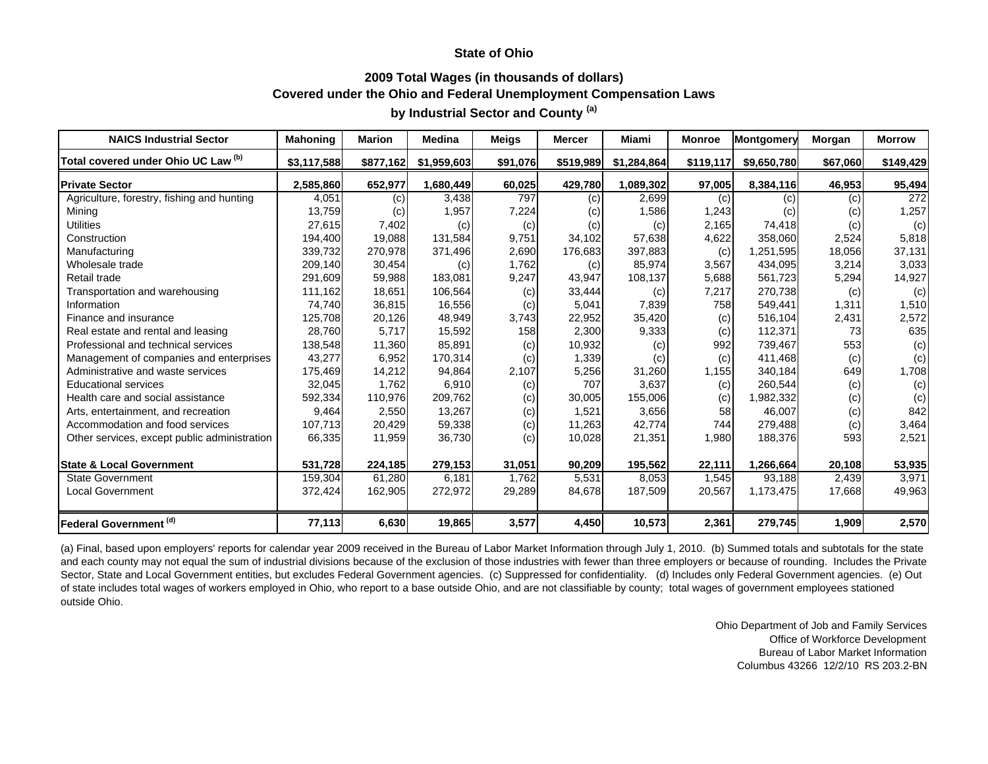### **2009 Total Wages (in thousands of dollars) Covered under the Ohio and Federal Unemployment Compensation Laws**

# **by Industrial Sector and County (a)**

| <b>NAICS Industrial Sector</b>               | <b>Mahoning</b> | <b>Marion</b> | <b>Medina</b> | <b>Meigs</b> | <b>Mercer</b> | Miami       | <b>Monroe</b> | Montgomery  | Morgan   | <b>Morrow</b> |
|----------------------------------------------|-----------------|---------------|---------------|--------------|---------------|-------------|---------------|-------------|----------|---------------|
| Total covered under Ohio UC Law (b)          | \$3,117,588     | \$877,162     | \$1,959,603   | \$91,076     | \$519,989     | \$1,284,864 | \$119,117     | \$9,650,780 | \$67,060 | \$149,429     |
| <b>Private Sector</b>                        | 2,585,860       | 652,977       | 1,680,449     | 60,025       | 429,780       | 1,089,302   | 97,005        | 8,384,116   | 46,953   | 95,494        |
| Agriculture, forestry, fishing and hunting   | 4,051           | (c)           | 3,438         | 797          | (c)           | 2,699       | (c)           | (c)         | (c)      | 272           |
| Mining                                       | 13,759          | (c)           | 1,957         | 7,224        | (c)           | 1,586       | 1,243         | (c)         | (c)      | 1,257         |
| <b>Utilities</b>                             | 27,615          | 7,402         | (c)           | (c)          | (c)           | (c)         | 2,165         | 74,418      | (c)      | (c)           |
| Construction                                 | 194,400         | 19,088        | 131,584       | 9,751        | 34,102        | 57,638      | 4,622         | 358,060     | 2,524    | 5,818         |
| Manufacturing                                | 339,732         | 270,978       | 371,496       | 2,690        | 176,683       | 397,883     | (c)           | 1,251,595   | 18,056   | 37,131        |
| Wholesale trade                              | 209,140         | 30,454        | (c)           | 1,762        | (c)           | 85,974      | 3,567         | 434,095     | 3,214    | 3,033         |
| Retail trade                                 | 291,609         | 59,988        | 183,081       | 9,247        | 43,947        | 108,137     | 5,688         | 561,723     | 5,294    | 14,927        |
| Transportation and warehousing               | 111,162         | 18,651        | 106,564       | (c)          | 33,444        | (c)         | 7,217         | 270,738     | (c)      | (c)           |
| Information                                  | 74.740          | 36,815        | 16,556        | (c)          | 5,041         | 7,839       | 758           | 549,441     | 1,311    | 1,510         |
| Finance and insurance                        | 125,708         | 20,126        | 48,949        | 3,743        | 22,952        | 35,420      | (c)           | 516,104     | 2,431    | 2,572         |
| Real estate and rental and leasing           | 28,760          | 5,717         | 15,592        | 158          | 2,300         | 9,333       | (c)           | 112,371     | 73       | 635           |
| Professional and technical services          | 138,548         | 11,360        | 85,891        | (c)          | 10,932        | (c)         | 992           | 739,467     | 553      | (c)           |
| Management of companies and enterprises      | 43,277          | 6,952         | 170,314       | (c)          | 1,339         | (c)         | (c)           | 411,468     | (c)      | (c)           |
| Administrative and waste services            | 175,469         | 14,212        | 94,864        | 2,107        | 5,256         | 31,260      | 1,155         | 340,184     | 649      | 1,708         |
| <b>Educational services</b>                  | 32,045          | 1,762         | 6,910         | (c)          | 707           | 3,637       | (c)           | 260,544     | (c)      | (c)           |
| Health care and social assistance            | 592,334         | 110,976       | 209,762       | (c)          | 30,005        | 155,006     | (c)           | 1,982,332   | (c)      | (c)           |
| Arts, entertainment, and recreation          | 9,464           | 2,550         | 13,267        | (c)          | 1,521         | 3,656       | 58            | 46,007      | (c)      | 842           |
| Accommodation and food services              | 107,713         | 20,429        | 59,338        | (c)          | 11,263        | 42,774      | 744I          | 279,488     | (c)      | 3,464         |
| Other services, except public administration | 66,335          | 11,959        | 36,730        | (c)          | 10,028        | 21,351      | 1,980         | 188,376     | 593      | 2,521         |
| <b>State &amp; Local Government</b>          | 531,728         | 224,185       | 279,153       | 31,051       | 90,209        | 195,562     | 22,111        | 1,266,664   | 20,108   | 53,935        |
| <b>State Government</b>                      | 159,304         | 61,280        | 6.181         | 1,762        | 5,531         | 8,053       | 1,545         | 93,188      | 2,439    | 3,971         |
| Local Government                             | 372,424         | 162,905       | 272,972       | 29,289       | 84,678        | 187,509     | 20,567        | 1,173,475   | 17,668   | 49,963        |
| Federal Government (d)                       | 77,113          | 6,630         | 19,865        | 3,577        | 4,450         | 10,573      | 2,361         | 279,745     | 1,909    | 2,570         |

(a) Final, based upon employers' reports for calendar year 2009 received in the Bureau of Labor Market Information through July 1, 2010. (b) Summed totals and subtotals for the state and each county may not equal the sum of industrial divisions because of the exclusion of those industries with fewer than three employers or because of rounding. Includes the Private Sector, State and Local Government entities, but excludes Federal Government agencies. (c) Suppressed for confidentiality. (d) Includes only Federal Government agencies. (e) Out of state includes total wages of workers employed in Ohio, who report to a base outside Ohio, and are not classifiable by county; total wages of government employees stationed outside Ohio.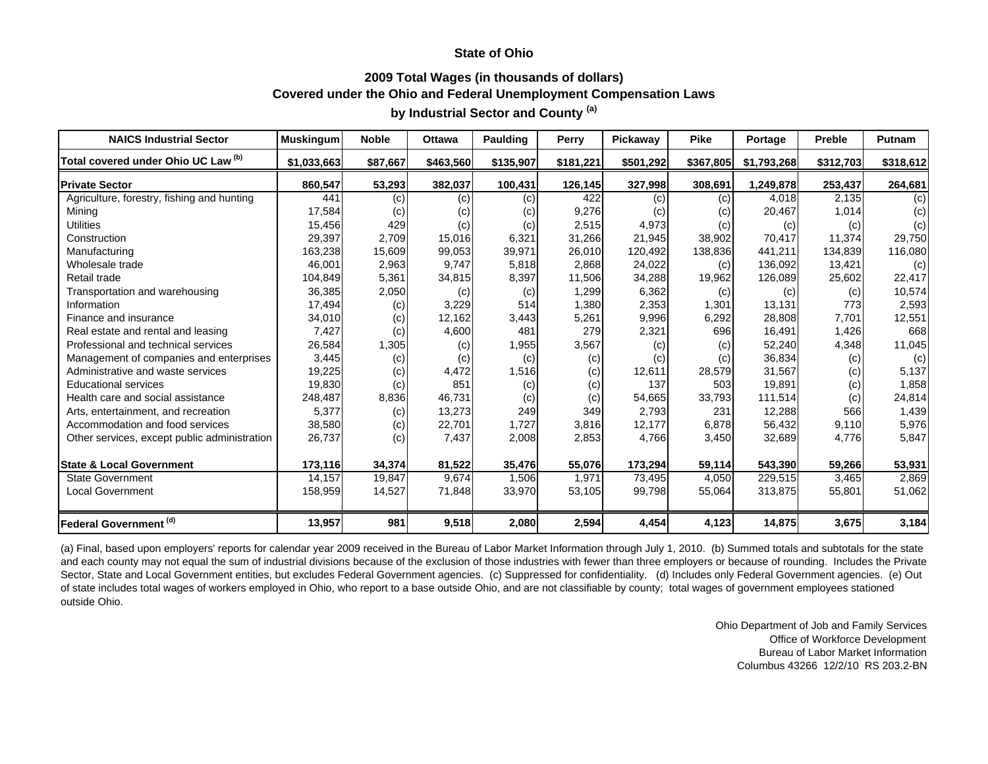### **2009 Total Wages (in thousands of dollars) Covered under the Ohio and Federal Unemployment Compensation Laws**

# **by Industrial Sector and County (a)**

| <b>NAICS Industrial Sector</b>               | <b>Muskingum</b> | <b>Noble</b> | <b>Ottawa</b> | Paulding  | Perry     | Pickaway  | Pike      | Portage     | <b>Preble</b> | <b>Putnam</b> |
|----------------------------------------------|------------------|--------------|---------------|-----------|-----------|-----------|-----------|-------------|---------------|---------------|
| Total covered under Ohio UC Law (b)          | \$1,033,663      | \$87,667     | \$463,560     | \$135,907 | \$181,221 | \$501,292 | \$367,805 | \$1,793,268 | \$312,703     | \$318,612     |
| <b>Private Sector</b>                        | 860,547          | 53,293       | 382,037       | 100,431   | 126,145   | 327,998   | 308,691   | 1,249,878   | 253,437       | 264,681       |
| Agriculture, forestry, fishing and hunting   | 441              | (c)          | (c)           | (c)       | 422       | (c)       | (c)       | 4,018       | 2,135         | (c)           |
| Mining                                       | 17,584           | (c)          | (c)           | (c)       | 9,276     | (C)       | (c)       | 20,467      | 1,014         | (c)           |
| <b>Utilities</b>                             | 15,456           | 429          | (c)           | (c)       | 2,515     | 4,973     | (c)       | (c)         | (c)           | (c)           |
| Construction                                 | 29,397           | 2,709        | 15,016        | 6,321     | 31,266    | 21,945    | 38,902    | 70,417      | 11,374        | 29,750        |
| Manufacturing                                | 163,238          | 15,609       | 99,053        | 39,971    | 26,010    | 120,492   | 138,836   | 441,211     | 134,839       | 116,080       |
| Wholesale trade                              | 46,001           | 2,963        | 9,747         | 5,818     | 2,868     | 24,022    | (c)       | 136,092     | 13,421        | (c)           |
| Retail trade                                 | 104,849          | 5,361        | 34,815        | 8,397     | 11,506    | 34,288    | 19,962    | 126,089     | 25,602        | 22,417        |
| Transportation and warehousing               | 36,385           | 2,050        | (c)           | (c)       | 1,299     | 6,362     | (c)       | (c)         | (c)           | 10,574        |
| Information                                  | 17,494           | (c)          | 3,229         | 514       | 1,380     | 2,353     | 1,301     | 13,131      | 773           | 2,593         |
| Finance and insurance                        | 34,010           | (c)          | 12,162        | 3,443     | 5,261     | 9,996     | 6,292     | 28,808      | 7,701         | 12,551        |
| Real estate and rental and leasing           | 7,427            | (c)          | 4,600         | 481       | 279       | 2,321     | 696       | 16,491      | 1,426         | 668           |
| Professional and technical services          | 26,584           | 1,305        | (c)           | 1,955     | 3,567     | (c)       | (c)       | 52,240      | 4,348         | 11,045        |
| Management of companies and enterprises      | 3,445            | (c)          | (c)           | (c)       | (c)       | (c)       | (c)       | 36,834      | (c)           | (c)           |
| Administrative and waste services            | 19,225           | (c)          | 4,472         | 1,516     | (c)       | 12,611    | 28,579    | 31,567      | (c)           | 5,137         |
| <b>Educational services</b>                  | 19,830           | (c)          | 851           | (c)       | (c)       | 137       | 503       | 19,891      | (c)           | 1,858         |
| Health care and social assistance            | 248,487          | 8,836        | 46,731        | (c)       | (c)       | 54,665    | 33,793    | 111,514     | (c)           | 24,814        |
| Arts, entertainment, and recreation          | 5,377            | (c)          | 13,273        | 249       | 349       | 2,793     | 231       | 12,288      | 566           | 1,439         |
| Accommodation and food services              | 38,580           | (c)          | 22,701        | 1,727     | 3,816     | 12,177    | 6,878     | 56,432      | 9,110         | 5,976         |
| Other services, except public administration | 26,737           | (c)          | 7,437         | 2,008     | 2,853     | 4,766     | 3,450     | 32,689      | 4,776         | 5,847         |
| <b>State &amp; Local Government</b>          | 173,116          | 34,374       | 81,522        | 35,476    | 55,076    | 173,294   | 59,114    | 543,390     | 59,266        | 53,931        |
| <b>State Government</b>                      | 14,157           | 19,847       | 9,674         | 1,506     | 1,971     | 73,495    | 4,050     | 229,515     | 3,465         | 2,869         |
| <b>Local Government</b>                      | 158,959          | 14,527       | 71,848        | 33,970    | 53,105    | 99,798    | 55,064    | 313,875     | 55,801        | 51,062        |
| Federal Government (d)                       | 13,957           | 981          | 9,518         | 2,080     | 2,594     | 4,454     | 4,123     | 14,875      | 3,675         | 3,184         |

(a) Final, based upon employers' reports for calendar year 2009 received in the Bureau of Labor Market Information through July 1, 2010. (b) Summed totals and subtotals for the state and each county may not equal the sum of industrial divisions because of the exclusion of those industries with fewer than three employers or because of rounding. Includes the Private Sector, State and Local Government entities, but excludes Federal Government agencies. (c) Suppressed for confidentiality. (d) Includes only Federal Government agencies. (e) Out of state includes total wages of workers employed in Ohio, who report to a base outside Ohio, and are not classifiable by county; total wages of government employees stationed outside Ohio.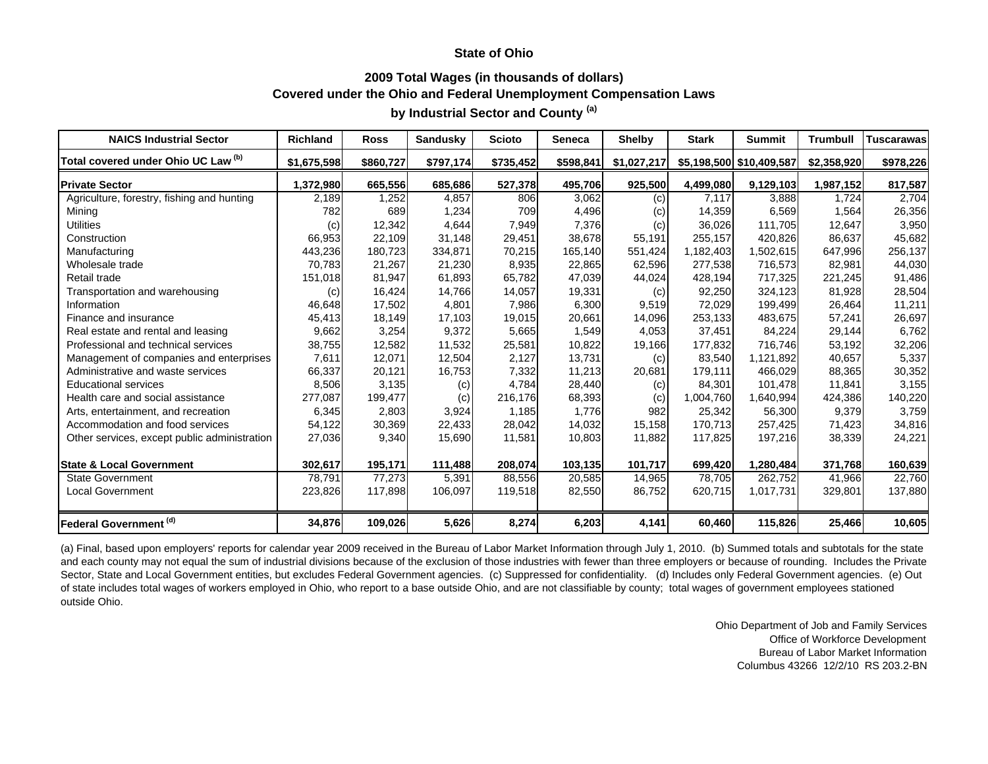### **2009 Total Wages (in thousands of dollars) Covered under the Ohio and Federal Unemployment Compensation Laws**

# **by Industrial Sector and County (a)**

| <b>NAICS Industrial Sector</b>               | <b>Richland</b> | <b>Ross</b> | Sandusky  | <b>Scioto</b> | <b>Seneca</b> | <b>Shelby</b> | <b>Stark</b> | <b>Summit</b>            | <b>Trumbull</b> | <b>Tuscarawas</b> |
|----------------------------------------------|-----------------|-------------|-----------|---------------|---------------|---------------|--------------|--------------------------|-----------------|-------------------|
| Total covered under Ohio UC Law (b)          | \$1,675,598     | \$860,727   | \$797,174 | \$735,452     | \$598,841     | \$1,027,217   |              | \$5,198,500 \$10,409,587 | \$2,358,920     | \$978,226         |
| <b>Private Sector</b>                        | 1,372,980       | 665,556     | 685,686   | 527,378       | 495,706       | 925,500       | 4,499,080    | 9,129,103                | 1,987,152       | 817,587           |
| Agriculture, forestry, fishing and hunting   | 2,189           | 1,252       | 4,857     | 806           | 3,062         | (c)           | 7,117        | 3,888                    | 1,724           | 2,704             |
| Mining                                       | 782             | 689         | 1,234     | 709           | 4,496         | (c)           | 14,359       | 6,569                    | 1,564           | 26,356            |
| <b>Utilities</b>                             | (c)             | 12,342      | 4,644     | 7,949         | 7,376         | (c)           | 36,026       | 111,705                  | 12,647          | 3,950             |
| Construction                                 | 66,953          | 22,109      | 31,148    | 29,451        | 38,678        | 55,191        | 255,157      | 420,826                  | 86,637          | 45,682            |
| Manufacturing                                | 443,236         | 180,723     | 334,871   | 70,215        | 165,140       | 551,424       | 1,182,403    | 1,502,615                | 647,996         | 256,137           |
| Wholesale trade                              | 70,783          | 21,267      | 21,230    | 8,935         | 22,865        | 62,596        | 277,538      | 716,573                  | 82,981          | 44,030            |
| Retail trade                                 | 151,018         | 81,947      | 61,893    | 65,782        | 47,039        | 44,024        | 428,194      | 717,325                  | 221,245         | 91,486            |
| Transportation and warehousing               | (c)             | 16,424      | 14,766    | 14,057        | 19,331        | (c)           | 92,250       | 324,123                  | 81,928          | 28,504            |
| Information                                  | 46,648          | 17,502      | 4,801     | 7,986         | 6,300         | 9,519         | 72,029       | 199,499                  | 26,464          | 11,211            |
| Finance and insurance                        | 45,413          | 18,149      | 17,103    | 19,015        | 20,661        | 14,096        | 253,133      | 483,675                  | 57,241          | 26,697            |
| Real estate and rental and leasing           | 9,662           | 3,254       | 9,372     | 5,665         | 1,549         | 4,053         | 37,451       | 84,224                   | 29,144          | 6,762             |
| Professional and technical services          | 38,755          | 12,582      | 11,532    | 25,581        | 10,822        | 19,166        | 177,832      | 716,746                  | 53,192          | 32,206            |
| Management of companies and enterprises      | 7,611           | 12,071      | 12,504    | 2,127         | 13,731        | (c)           | 83,540       | 1,121,892                | 40,657          | 5,337             |
| Administrative and waste services            | 66,337          | 20,121      | 16,753    | 7,332         | 11,213        | 20,681        | 179,111      | 466,029                  | 88,365          | 30,352            |
| <b>Educational services</b>                  | 8,506           | 3,135       | (c)       | 4,784         | 28,440        | (c)           | 84,301       | 101,478                  | 11,841          | 3,155             |
| Health care and social assistance            | 277,087         | 199,477     | (c)       | 216,176       | 68,393        | (c)           | 1,004,760    | 1,640,994                | 424,386         | 140,220           |
| Arts, entertainment, and recreation          | 6,345           | 2,803       | 3,924     | 1,185         | 1,776         | 982           | 25,342       | 56,300                   | 9,379           | 3,759             |
| Accommodation and food services              | 54,122          | 30,369      | 22,433    | 28,042        | 14,032        | 15,158        | 170,713      | 257,425                  | 71,423          | 34,816            |
| Other services, except public administration | 27,036          | 9,340       | 15,690    | 11,581        | 10,803        | 11,882        | 117,825      | 197,216                  | 38,339          | 24,221            |
| <b>State &amp; Local Government</b>          | 302,617         | 195,171     | 111,488   | 208,074       | 103,135       | 101,717       | 699,420      | 1,280,484                | 371,768         | 160,639           |
| <b>State Government</b>                      | 78,791          | 77,273      | 5,391     | 88,556        | 20,585        | 14,965        | 78,705       | 262,752                  | 41,966          | 22,760            |
| <b>Local Government</b>                      | 223,826         | 117,898     | 106,097   | 119,518       | 82,550        | 86,752        | 620,715      | 1,017,731                | 329,801         | 137,880           |
| Federal Government (d)                       | 34,876          | 109,026     | 5,626     | 8,274         | 6,203         | 4,141         | 60,460       | 115,826                  | 25,466          | 10,605            |

(a) Final, based upon employers' reports for calendar year 2009 received in the Bureau of Labor Market Information through July 1, 2010. (b) Summed totals and subtotals for the state and each county may not equal the sum of industrial divisions because of the exclusion of those industries with fewer than three employers or because of rounding. Includes the Private Sector, State and Local Government entities, but excludes Federal Government agencies. (c) Suppressed for confidentiality. (d) Includes only Federal Government agencies. (e) Out of state includes total wages of workers employed in Ohio, who report to a base outside Ohio, and are not classifiable by county; total wages of government employees stationed outside Ohio.